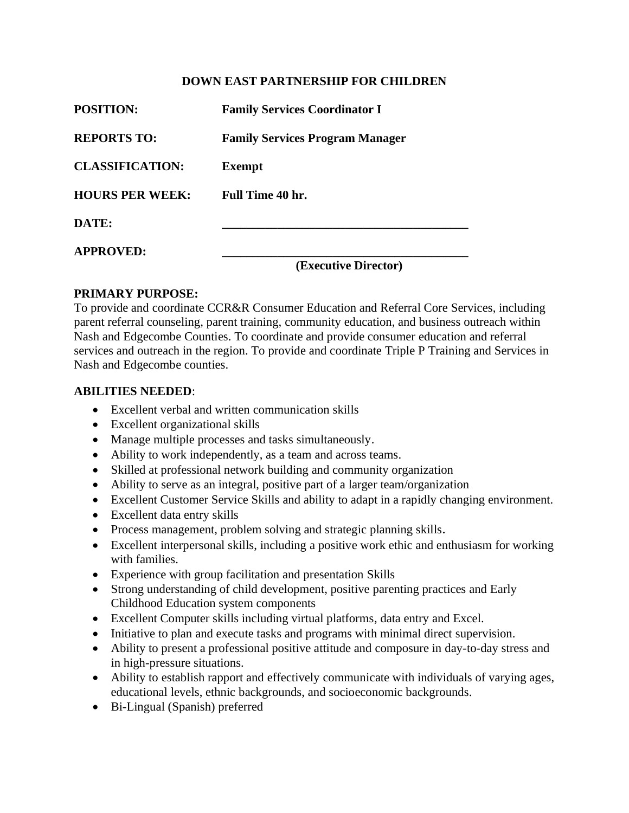#### **DOWN EAST PARTNERSHIP FOR CHILDREN**

| <b>POSITION:</b>       | <b>Family Services Coordinator I</b>   |
|------------------------|----------------------------------------|
| <b>REPORTS TO:</b>     | <b>Family Services Program Manager</b> |
| <b>CLASSIFICATION:</b> | <b>Exempt</b>                          |
| <b>HOURS PER WEEK:</b> | Full Time 40 hr.                       |
| DATE:                  |                                        |
| <b>APPROVED:</b>       |                                        |

**(Executive Director)**

#### **PRIMARY PURPOSE:**

To provide and coordinate CCR&R Consumer Education and Referral Core Services, including parent referral counseling, parent training, community education, and business outreach within Nash and Edgecombe Counties. To coordinate and provide consumer education and referral services and outreach in the region. To provide and coordinate Triple P Training and Services in Nash and Edgecombe counties.

#### **ABILITIES NEEDED**:

- Excellent verbal and written communication skills
- Excellent organizational skills
- Manage multiple processes and tasks simultaneously.
- Ability to work independently, as a team and across teams.
- Skilled at professional network building and community organization
- Ability to serve as an integral, positive part of a larger team/organization
- Excellent Customer Service Skills and ability to adapt in a rapidly changing environment.
- Excellent data entry skills
- Process management, problem solving and strategic planning skills.
- Excellent interpersonal skills, including a positive work ethic and enthusiasm for working with families.
- Experience with group facilitation and presentation Skills
- Strong understanding of child development, positive parenting practices and Early Childhood Education system components
- Excellent Computer skills including virtual platforms, data entry and Excel.
- Initiative to plan and execute tasks and programs with minimal direct supervision.
- Ability to present a professional positive attitude and composure in day-to-day stress and in high-pressure situations.
- Ability to establish rapport and effectively communicate with individuals of varying ages, educational levels, ethnic backgrounds, and socioeconomic backgrounds.
- Bi-Lingual (Spanish) preferred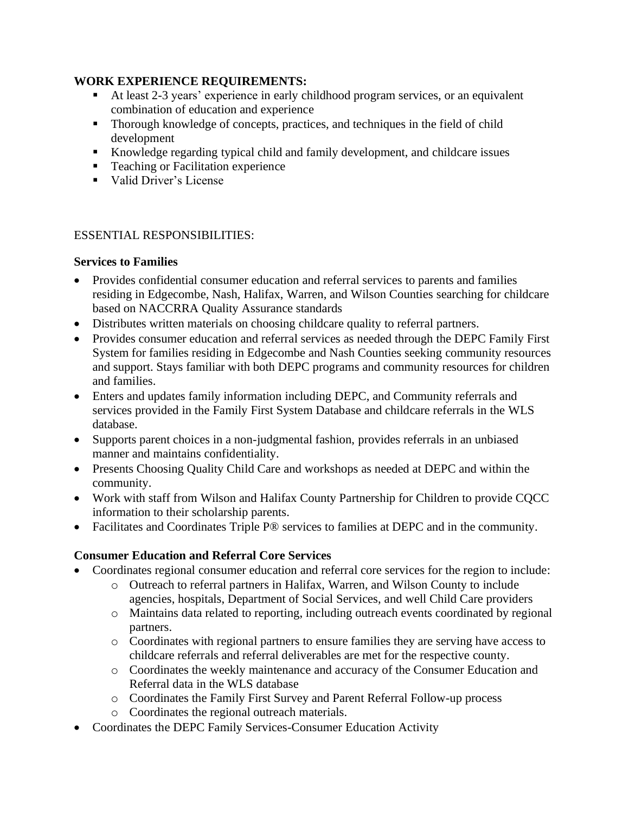### **WORK EXPERIENCE REQUIREMENTS:**

- At least 2-3 years' experience in early childhood program services, or an equivalent combination of education and experience
- Thorough knowledge of concepts, practices, and techniques in the field of child development
- Knowledge regarding typical child and family development, and childcare issues
- Teaching or Facilitation experience
- Valid Driver's License

### ESSENTIAL RESPONSIBILITIES:

### **Services to Families**

- Provides confidential consumer education and referral services to parents and families residing in Edgecombe, Nash, Halifax, Warren, and Wilson Counties searching for childcare based on NACCRRA Quality Assurance standards
- Distributes written materials on choosing childcare quality to referral partners.
- Provides consumer education and referral services as needed through the DEPC Family First System for families residing in Edgecombe and Nash Counties seeking community resources and support. Stays familiar with both DEPC programs and community resources for children and families.
- Enters and updates family information including DEPC, and Community referrals and services provided in the Family First System Database and childcare referrals in the WLS database.
- Supports parent choices in a non-judgmental fashion, provides referrals in an unbiased manner and maintains confidentiality.
- Presents Choosing Quality Child Care and workshops as needed at DEPC and within the community.
- Work with staff from Wilson and Halifax County Partnership for Children to provide CQCC information to their scholarship parents.
- Facilitates and Coordinates Triple P<sup>®</sup> services to families at DEPC and in the community.

# **Consumer Education and Referral Core Services**

- Coordinates regional consumer education and referral core services for the region to include:
	- o Outreach to referral partners in Halifax, Warren, and Wilson County to include agencies, hospitals, Department of Social Services, and well Child Care providers
	- o Maintains data related to reporting, including outreach events coordinated by regional partners.
	- o Coordinates with regional partners to ensure families they are serving have access to childcare referrals and referral deliverables are met for the respective county.
	- o Coordinates the weekly maintenance and accuracy of the Consumer Education and Referral data in the WLS database
	- o Coordinates the Family First Survey and Parent Referral Follow-up process
	- o Coordinates the regional outreach materials.
- Coordinates the DEPC Family Services-Consumer Education Activity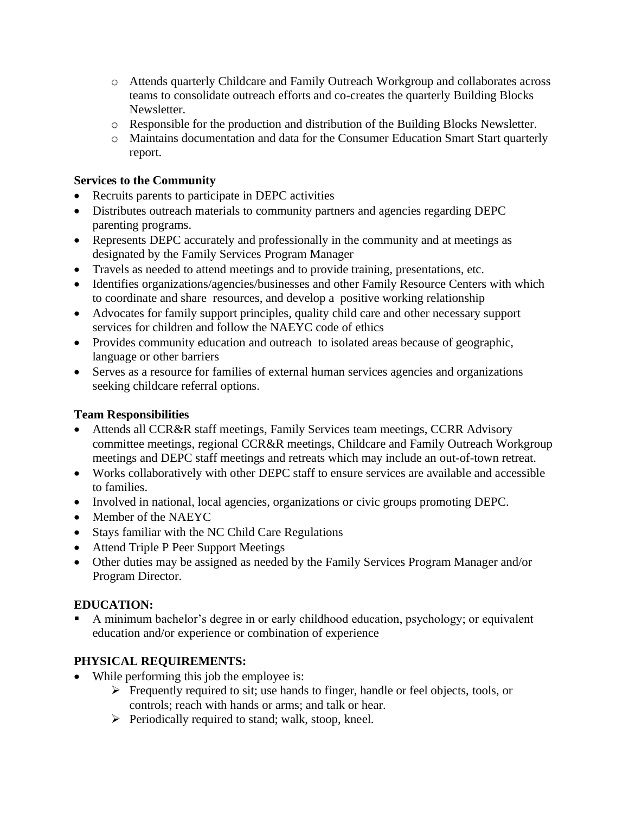- o Attends quarterly Childcare and Family Outreach Workgroup and collaborates across teams to consolidate outreach efforts and co-creates the quarterly Building Blocks Newsletter.
- o Responsible for the production and distribution of the Building Blocks Newsletter.
- o Maintains documentation and data for the Consumer Education Smart Start quarterly report.

## **Services to the Community**

- Recruits parents to participate in DEPC activities
- Distributes outreach materials to community partners and agencies regarding DEPC parenting programs.
- Represents DEPC accurately and professionally in the community and at meetings as designated by the Family Services Program Manager
- Travels as needed to attend meetings and to provide training, presentations, etc.
- Identifies organizations/agencies/businesses and other Family Resource Centers with which to coordinate and share resources, and develop a positive working relationship
- Advocates for family support principles, quality child care and other necessary support services for children and follow the NAEYC code of ethics
- Provides community education and outreach to isolated areas because of geographic, language or other barriers
- Serves as a resource for families of external human services agencies and organizations seeking childcare referral options.

## **Team Responsibilities**

- Attends all CCR&R staff meetings, Family Services team meetings, CCRR Advisory committee meetings, regional CCR&R meetings, Childcare and Family Outreach Workgroup meetings and DEPC staff meetings and retreats which may include an out-of-town retreat.
- Works collaboratively with other DEPC staff to ensure services are available and accessible to families.
- Involved in national, local agencies, organizations or civic groups promoting DEPC.
- Member of the NAEYC
- Stays familiar with the NC Child Care Regulations
- Attend Triple P Peer Support Meetings
- Other duties may be assigned as needed by the Family Services Program Manager and/or Program Director.

# **EDUCATION:**

A minimum bachelor's degree in or early childhood education, psychology; or equivalent education and/or experience or combination of experience

# **PHYSICAL REQUIREMENTS:**

- While performing this job the employee is:
	- ➢ Frequently required to sit; use hands to finger, handle or feel objects, tools, or controls; reach with hands or arms; and talk or hear.
		- ➢ Periodically required to stand; walk, stoop, kneel.